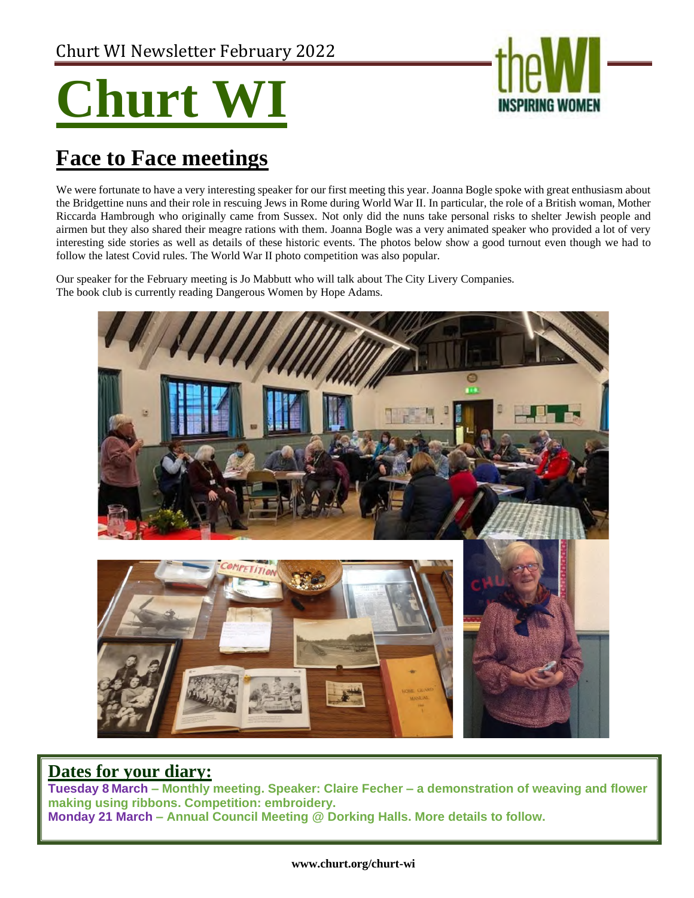# **Churt**



# **Face to Face meetings**

We were fortunate to have a very interesting speaker for our first meeting this year. Joanna Bogle spoke with great enthusiasm about the Bridgettine nuns and their role in rescuing Jews in Rome during World War II. In particular, the role of a British woman, Mother Riccarda Hambrough who originally came from Sussex. Not only did the nuns take personal risks to shelter Jewish people and airmen but they also shared their meagre rations with them. Joanna Bogle was a very animated speaker who provided a lot of very interesting side stories as well as details of these historic events. The photos below show a good turnout even though we had to follow the latest Covid rules. The World War II photo competition was also popular.

Our speaker for the February meeting is Jo Mabbutt who will talk about The City Livery Companies. The book club is currently reading Dangerous Women by Hope Adams.



## **Dates for your diary:**

**Tuesday 8 March – Monthly meeting. Speaker: Claire Fecher – a demonstration of weaving and flower making using ribbons. Competition: embroidery. Monday 21 March – Annual Council Meeting @ Dorking Halls. More details to follow.**

#### **www.churt.org/churt-wi**